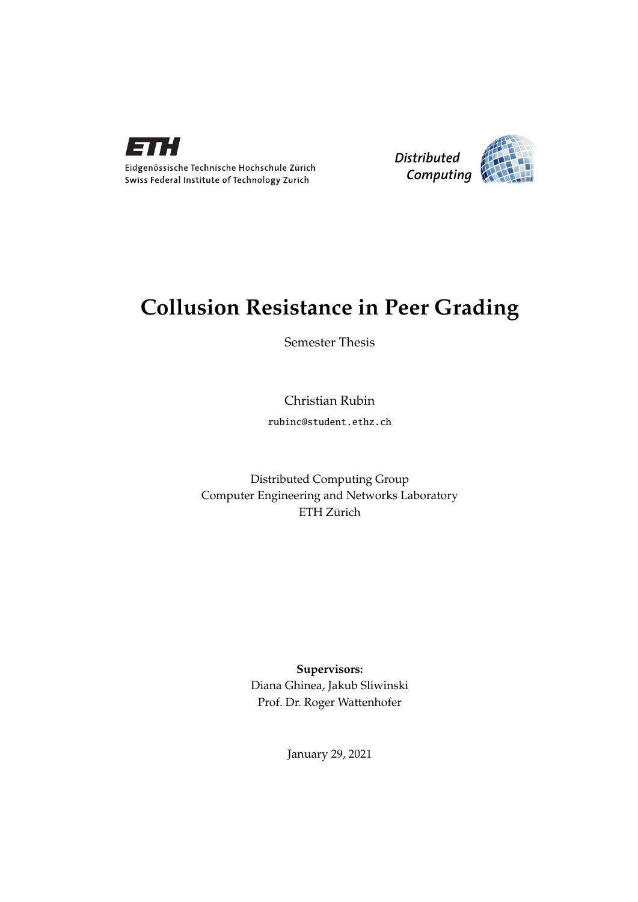

Eidgenössische Technische Hochschule Zürich Swiss Federal Institute of Technology Zurich



## **Collusion Resistance in Peer Grading**

Semester Thesis

Christian Rubin

rubinc@student.ethz.ch

Distributed Computing Group Computer Engineering and Networks Laboratory ETH Zürich

> **Supervisors:** Diana Ghinea, Jakub Sliwinski Prof. Dr. Roger Wattenhofer

> > January 29, 2021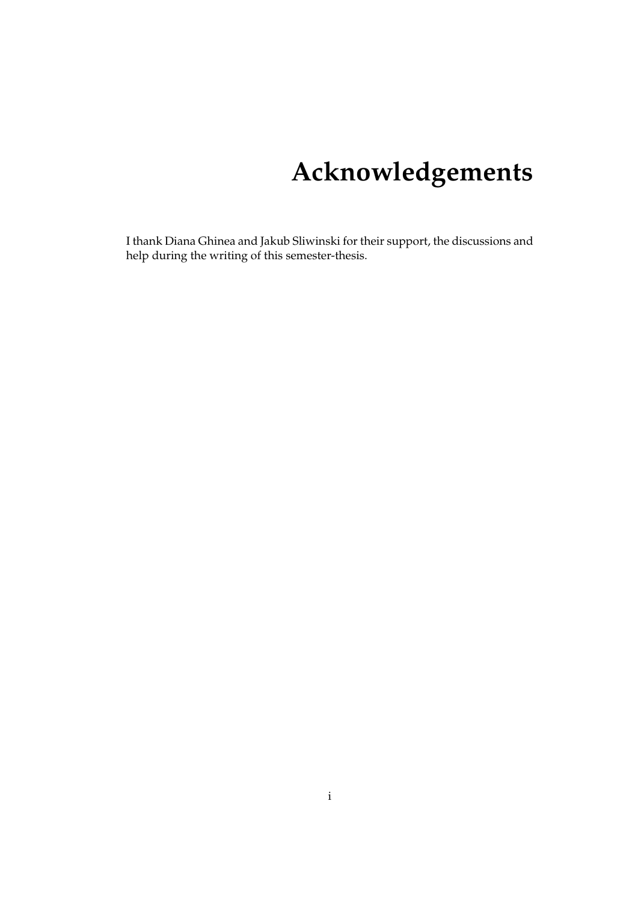# **Acknowledgements**

<span id="page-1-0"></span>I thank Diana Ghinea and Jakub Sliwinski for their support, the discussions and help during the writing of this semester-thesis.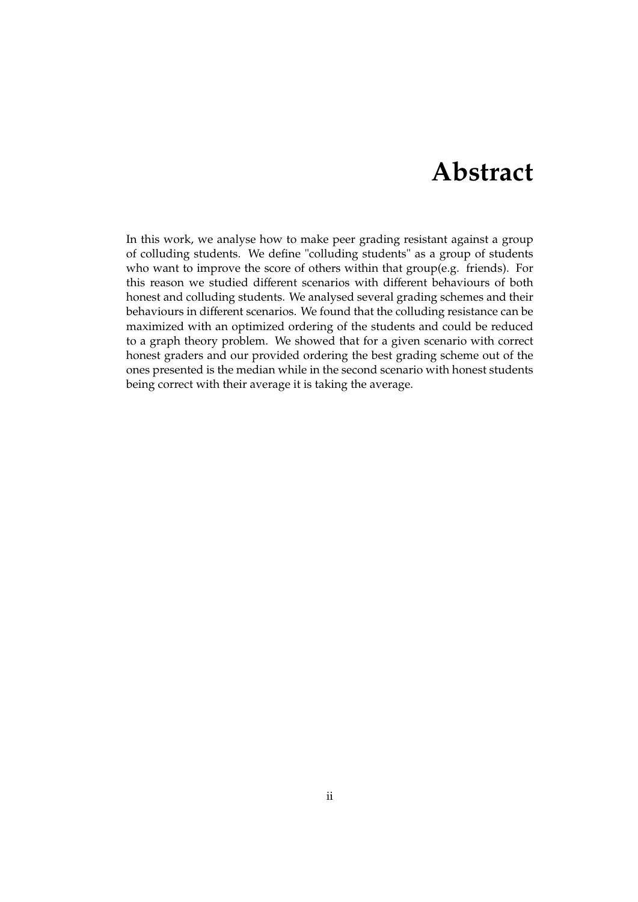## **Abstract**

<span id="page-2-0"></span>In this work, we analyse how to make peer grading resistant against a group of colluding students. We define "colluding students" as a group of students who want to improve the score of others within that group(e.g. friends). For this reason we studied different scenarios with different behaviours of both honest and colluding students. We analysed several grading schemes and their behaviours in different scenarios. We found that the colluding resistance can be maximized with an optimized ordering of the students and could be reduced to a graph theory problem. We showed that for a given scenario with correct honest graders and our provided ordering the best grading scheme out of the ones presented is the median while in the second scenario with honest students being correct with their average it is taking the average.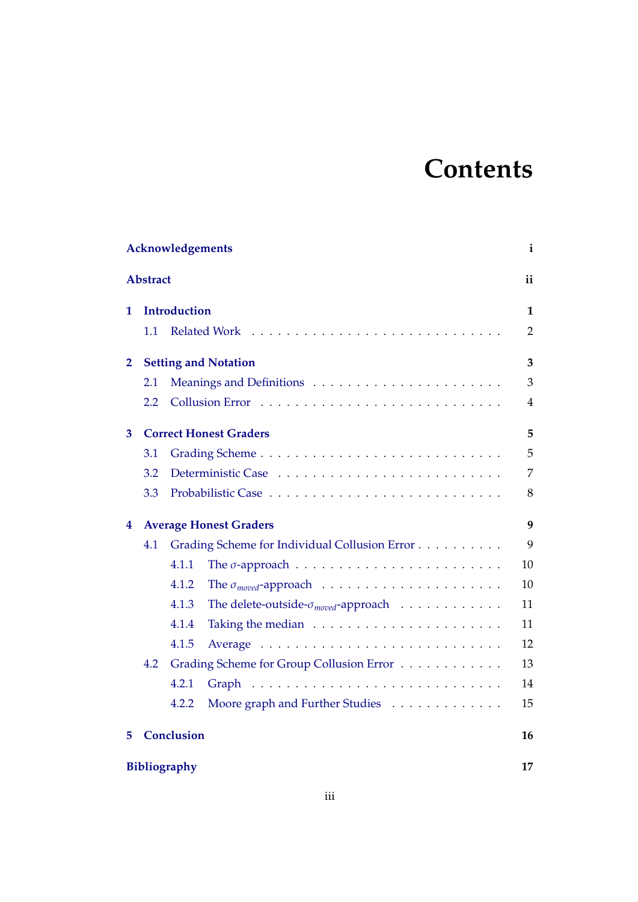# **Contents**

| Acknowledgements<br>i |                   |                                               |                                                                     |                |
|-----------------------|-------------------|-----------------------------------------------|---------------------------------------------------------------------|----------------|
| <b>Abstract</b>       |                   |                                               |                                                                     | ii             |
| 1                     |                   | <b>Introduction</b>                           |                                                                     |                |
|                       | 1.1               |                                               | <b>Related Work</b>                                                 | $\overline{2}$ |
| 2                     |                   | <b>Setting and Notation</b>                   |                                                                     |                |
|                       | 2.1               |                                               |                                                                     | 3              |
|                       | 2.2               |                                               |                                                                     | $\overline{4}$ |
| 3                     |                   | <b>Correct Honest Graders</b>                 |                                                                     |                |
|                       | 3.1               |                                               |                                                                     | 5              |
|                       | 3.2               |                                               |                                                                     | 7              |
|                       | 3.3               |                                               |                                                                     | 8              |
| 4                     |                   | <b>Average Honest Graders</b>                 |                                                                     |                |
|                       | 4.1               | Grading Scheme for Individual Collusion Error |                                                                     |                |
|                       |                   | 4.1.1                                         |                                                                     | 10             |
|                       |                   | 4.1.2                                         |                                                                     | 10             |
|                       |                   | 4.1.3                                         | The delete-outside- $\sigma_{\textit{move}}$ -approach              | 11             |
|                       |                   | 4.1.4                                         | Taking the median $\dots \dots \dots \dots \dots \dots \dots \dots$ | 11             |
|                       |                   | 4.1.5                                         |                                                                     | 12             |
|                       | 4.2               |                                               | Grading Scheme for Group Collusion Error                            | 13             |
|                       |                   | 4.2.1                                         |                                                                     | 14             |
|                       |                   | 4.2.2                                         | Moore graph and Further Studies                                     | 15             |
| 5                     | <b>Conclusion</b> |                                               |                                                                     |                |
| <b>Bibliography</b>   |                   |                                               |                                                                     | 17             |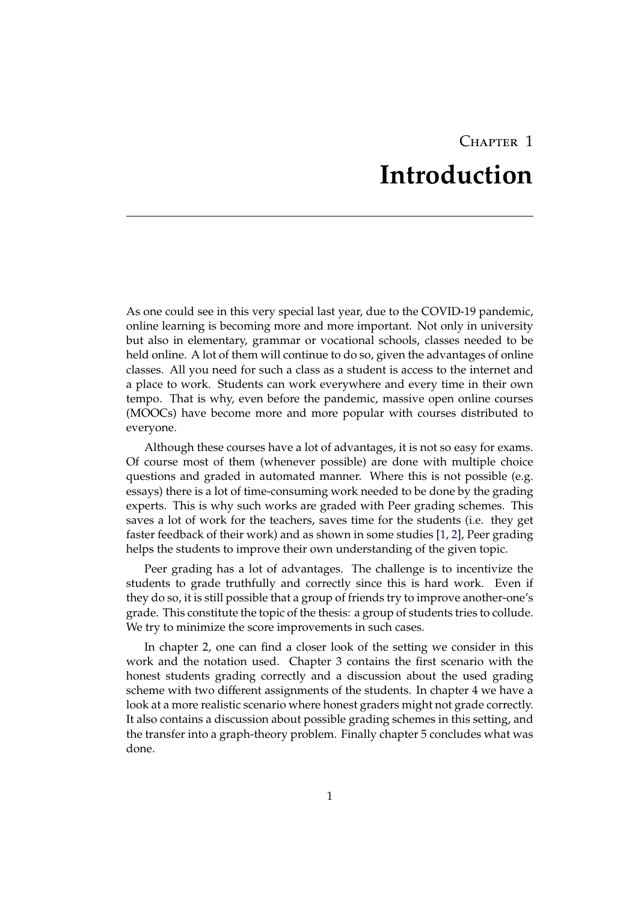## $C_{\text{HAPTER}}$  1 **Introduction**

<span id="page-4-0"></span>As one could see in this very special last year, due to the COVID-19 pandemic, online learning is becoming more and more important. Not only in university but also in elementary, grammar or vocational schools, classes needed to be held online. A lot of them will continue to do so, given the advantages of online classes. All you need for such a class as a student is access to the internet and a place to work. Students can work everywhere and every time in their own tempo. That is why, even before the pandemic, massive open online courses (MOOCs) have become more and more popular with courses distributed to everyone.

Although these courses have a lot of advantages, it is not so easy for exams. Of course most of them (whenever possible) are done with multiple choice questions and graded in automated manner. Where this is not possible (e.g. essays) there is a lot of time-consuming work needed to be done by the grading experts. This is why such works are graded with Peer grading schemes. This saves a lot of work for the teachers, saves time for the students (i.e. they get faster feedback of their work) and as shown in some studies [\[1,](#page-20-1) [2\]](#page-20-2), Peer grading helps the students to improve their own understanding of the given topic.

Peer grading has a lot of advantages. The challenge is to incentivize the students to grade truthfully and correctly since this is hard work. Even if they do so, it is still possible that a group of friends try to improve another-one's grade. This constitute the topic of the thesis: a group of students tries to collude. We try to minimize the score improvements in such cases.

In chapter 2, one can find a closer look of the setting we consider in this work and the notation used. Chapter 3 contains the first scenario with the honest students grading correctly and a discussion about the used grading scheme with two different assignments of the students. In chapter 4 we have a look at a more realistic scenario where honest graders might not grade correctly. It also contains a discussion about possible grading schemes in this setting, and the transfer into a graph-theory problem. Finally chapter 5 concludes what was done.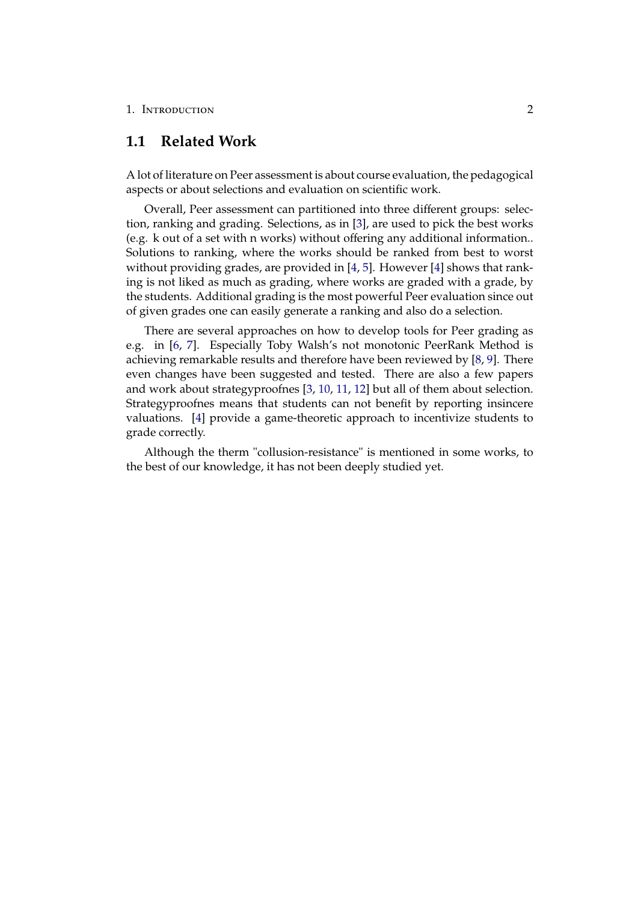### <span id="page-5-0"></span>**1.1 Related Work**

A lot of literature on Peer assessment is about course evaluation, the pedagogical aspects or about selections and evaluation on scientific work.

Overall, Peer assessment can partitioned into three different groups: selection, ranking and grading. Selections, as in [\[3\]](#page-20-3), are used to pick the best works (e.g. k out of a set with n works) without offering any additional information.. Solutions to ranking, where the works should be ranked from best to worst without providing grades, are provided in [\[4,](#page-20-4) [5\]](#page-20-5). However [\[4\]](#page-20-4) shows that ranking is not liked as much as grading, where works are graded with a grade, by the students. Additional grading is the most powerful Peer evaluation since out of given grades one can easily generate a ranking and also do a selection.

There are several approaches on how to develop tools for Peer grading as e.g. in [\[6,](#page-20-6) [7\]](#page-20-7). Especially Toby Walsh's not monotonic PeerRank Method is achieving remarkable results and therefore have been reviewed by [\[8,](#page-20-8) [9\]](#page-20-9). There even changes have been suggested and tested. There are also a few papers and work about strategyproofnes [\[3,](#page-20-3) [10,](#page-20-10) [11,](#page-20-11) [12\]](#page-20-12) but all of them about selection. Strategyproofnes means that students can not benefit by reporting insincere valuations. [\[4\]](#page-20-4) provide a game-theoretic approach to incentivize students to grade correctly.

Although the therm "collusion-resistance" is mentioned in some works, to the best of our knowledge, it has not been deeply studied yet.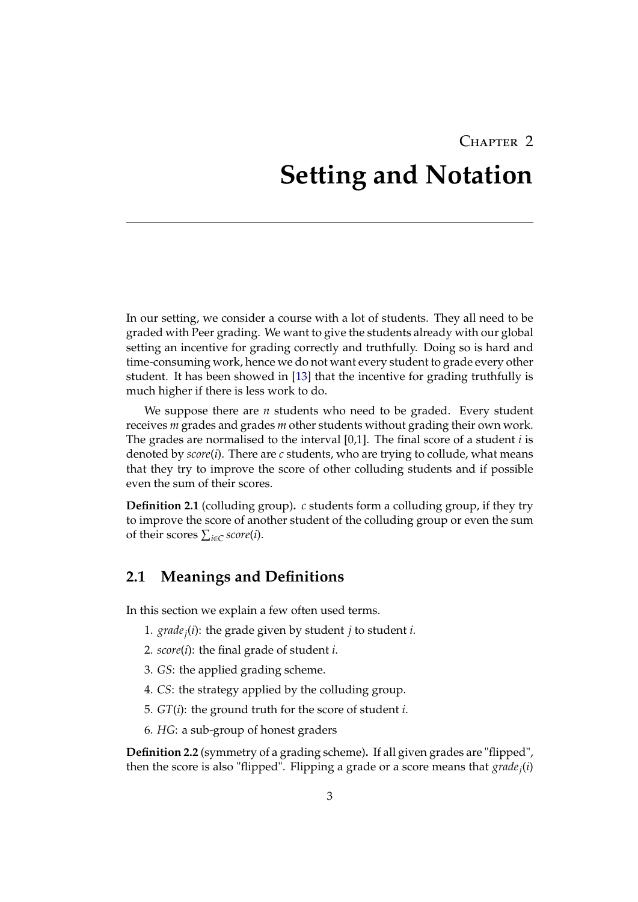# <span id="page-6-0"></span>CHAPTER 2 **Setting and Notation**

In our setting, we consider a course with a lot of students. They all need to be graded with Peer grading. We want to give the students already with our global setting an incentive for grading correctly and truthfully. Doing so is hard and time-consuming work, hence we do not want every student to grade every other student. It has been showed in [\[13\]](#page-21-0) that the incentive for grading truthfully is much higher if there is less work to do.

We suppose there are *n* students who need to be graded. Every student receives *m* grades and grades *m* other students without grading their own work. The grades are normalised to the interval [0,1]. The final score of a student *i* is denoted by *score*(*i*). There are *c* students, who are trying to collude, what means that they try to improve the score of other colluding students and if possible even the sum of their scores.

**Definition 2.1** (colluding group)**.** *c* students form a colluding group, if they try to improve the score of another student of the colluding group or even the sum of their scores  $\sum_{i \in C} score(i)$ .

### <span id="page-6-1"></span>**2.1 Meanings and Definitions**

In this section we explain a few often used terms.

- 1. *gradej*(*i*): the grade given by student *j* to student *i*.
- 2. *score*(*i*): the final grade of student *i*.
- 3. *GS*: the applied grading scheme.
- 4. *CS*: the strategy applied by the colluding group.
- 5. *GT*(*i*): the ground truth for the score of student *i*.
- 6. *HG*: a sub-group of honest graders

**Definition 2.2** (symmetry of a grading scheme)**.** If all given grades are "flipped", then the score is also "flipped". Flipping a grade or a score means that *gradej*(*i*)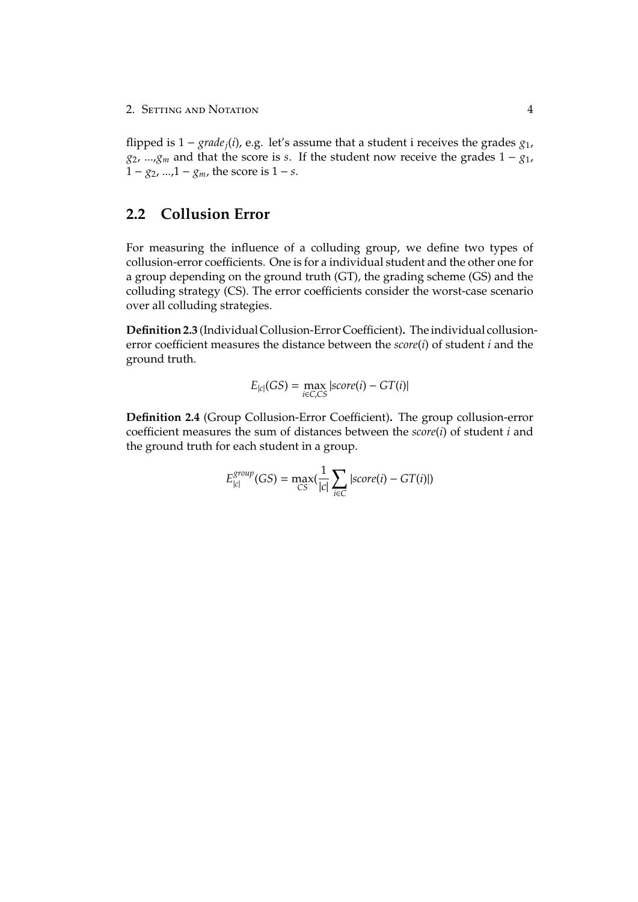flipped is  $1 - grade_i(i)$ , e.g. let's assume that a student i receives the grades  $g_1$ , *g*2, ...,*g<sup>m</sup>* and that the score is *s*. If the student now receive the grades 1 − *g*1,  $1 - g_2$ , ...,  $1 - g_m$ , the score is  $1 - s$ .

## <span id="page-7-0"></span>**2.2 Collusion Error**

For measuring the influence of a colluding group, we define two types of collusion-error coefficients. One is for a individual student and the other one for a group depending on the ground truth (GT), the grading scheme (GS) and the colluding strategy (CS). The error coefficients consider the worst-case scenario over all colluding strategies.

**Definition 2.3** (Individual Collusion-Error Coefficient)**.** The individual collusionerror coefficient measures the distance between the *score*(*i*) of student *i* and the ground truth.

$$
E_{|c|}(GS) = \max_{i \in C, CS} |score(i) - GT(i)|
$$

**Definition 2.4** (Group Collusion-Error Coefficient)**.** The group collusion-error coefficient measures the sum of distances between the *score*(*i*) of student *i* and the ground truth for each student in a group.

$$
E_{|c|}^{group}(GS) = \max_{CS}(\frac{1}{|c|}\sum_{i\in C} |score(i) - GT(i)|)
$$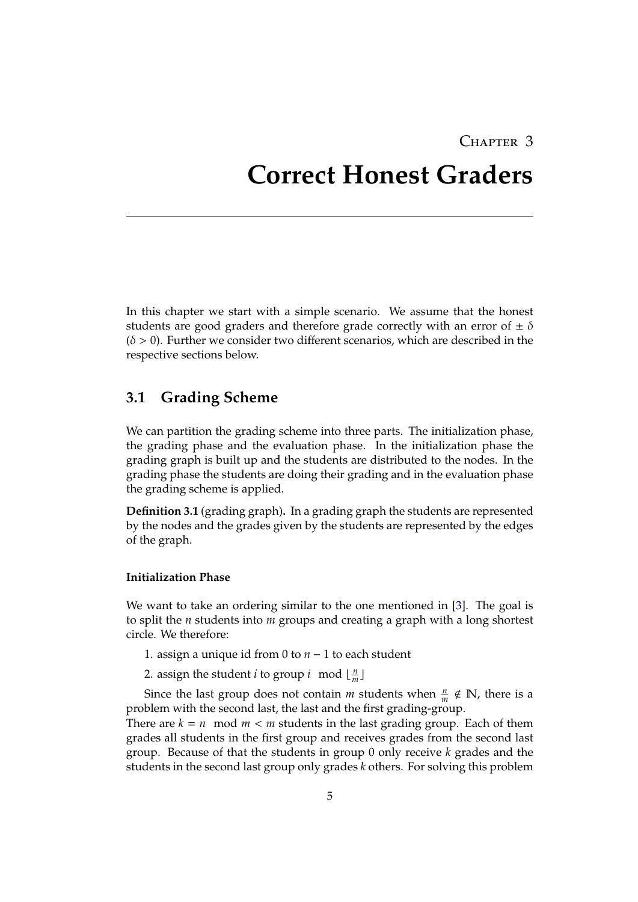## CHAPTER 3

## <span id="page-8-0"></span>**Correct Honest Graders**

In this chapter we start with a simple scenario. We assume that the honest students are good graders and therefore grade correctly with an error of  $\pm \delta$  $(\delta > 0)$ . Further we consider two different scenarios, which are described in the respective sections below.

## <span id="page-8-1"></span>**3.1 Grading Scheme**

We can partition the grading scheme into three parts. The initialization phase, the grading phase and the evaluation phase. In the initialization phase the grading graph is built up and the students are distributed to the nodes. In the grading phase the students are doing their grading and in the evaluation phase the grading scheme is applied.

**Definition 3.1** (grading graph)**.** In a grading graph the students are represented by the nodes and the grades given by the students are represented by the edges of the graph.

#### <span id="page-8-2"></span>**Initialization Phase**

We want to take an ordering similar to the one mentioned in [\[3\]](#page-20-3). The goal is to split the *n* students into *m* groups and creating a graph with a long shortest circle. We therefore:

- 1. assign a unique id from 0 to *n* − 1 to each student
- 2. assign the student *i* to group *i* mod  $\lfloor \frac{n}{m} \rfloor$  $\frac{n}{m}$

Since the last group does not contain *m* students when  $\frac{n}{m} \notin \mathbb{N}$ , there is a problem with the second last, the last and the first grading-group.

There are  $k = n \mod m < m$  students in the last grading group. Each of them grades all students in the first group and receives grades from the second last group. Because of that the students in group 0 only receive *k* grades and the students in the second last group only grades *k* others. For solving this problem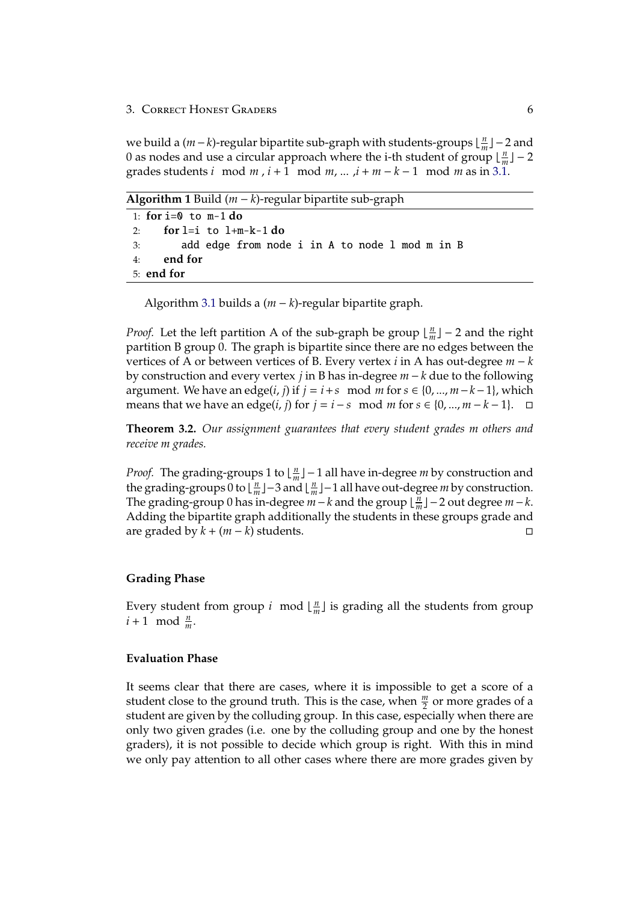we build a (*m* − *k*)-regular bipartite sub-graph with students-groups  $\lfloor \frac{n}{n} \rfloor$  $\frac{n}{m}$ ] – 2 and 0 as nodes and use a circular approach where the i-th student of group  $\lfloor \frac{n}{n} \rfloor$  $\frac{n}{m}$ ] – 2 grades students *i* mod *m* , *i* + 1 mod *m*, ... ,*i* + *m* − *k* − 1 mod *m* as in [3.1.](#page-10-1)

**Algorithm 1** Build (*m* − *k*)-regular bipartite sub-graph

| 1: for $i=0$ to m-1 do                            |
|---------------------------------------------------|
| 2: for $l=i$ to $l+m-k-1$ do                      |
| 3: add edge from node i in A to node 1 mod m in B |
| 4: end for                                        |
| 5: end for                                        |

Algorithm [3.1](#page-8-2) builds a (*m* − *k*)-regular bipartite graph.

*Proof.* Let the left partition A of the sub-graph be group  $\lfloor \frac{n}{n} \rfloor$  $\frac{n}{m}$ ] – 2 and the right partition B group 0. The graph is bipartite since there are no edges between the vertices of A or between vertices of B. Every vertex *i* in A has out-degree *m* − *k* by construction and every vertex *j* in B has in-degree *m* − *k* due to the following argument. We have an edge(*i*, *j*) if  $j = i + s \mod m$  for  $s \in \{0, ..., m - k - 1\}$ , which means that we have an edge(*i*, *j*) for  $j = i - s \mod m$  for  $s \in \{0, ..., m - k - 1\}$ . □

**Theorem 3.2.** *Our assignment guarantees that every student grades m others and receive m grades.*

*Proof.* The grading-groups 1 to  $\lfloor \frac{n}{m} \rfloor$ *n*<sup>n</sup><sub>*m*</sub></sub>  $\lfloor$  − 1 all have in-degree *m* by construction and the grading-groups 0 to  $\frac{n}{n}$  $\left[\frac{n}{m}\right]$  – 3 and  $\left\lfloor \frac{n}{m}\right\rfloor$ *n*<sup>n</sup><sub>*m*</sub></sub>  $-1$  all have out-degree *m* by construction. The grading-group 0 has in-degree  $m - k$  and the group  $\lfloor \frac{n}{n} \rfloor$  $\frac{m}{m}$ ] − 2 out degree *m* − *k*. Adding the bipartite graph additionally the students in these groups grade and are graded by  $k + (m - k)$  students.  $□$ 

#### **Grading Phase**

Every student from group *i* mod  $\lfloor \frac{n}{m} \rfloor$  $\frac{n}{m}$  is grading all the students from group  $i + 1 \mod \frac{n}{m}$ .

#### **Evaluation Phase**

It seems clear that there are cases, where it is impossible to get a score of a student close to the ground truth. This is the case, when  $\frac{m}{2}$  or more grades of a student are given by the colluding group. In this case, especially when there are only two given grades (i.e. one by the colluding group and one by the honest graders), it is not possible to decide which group is right. With this in mind we only pay attention to all other cases where there are more grades given by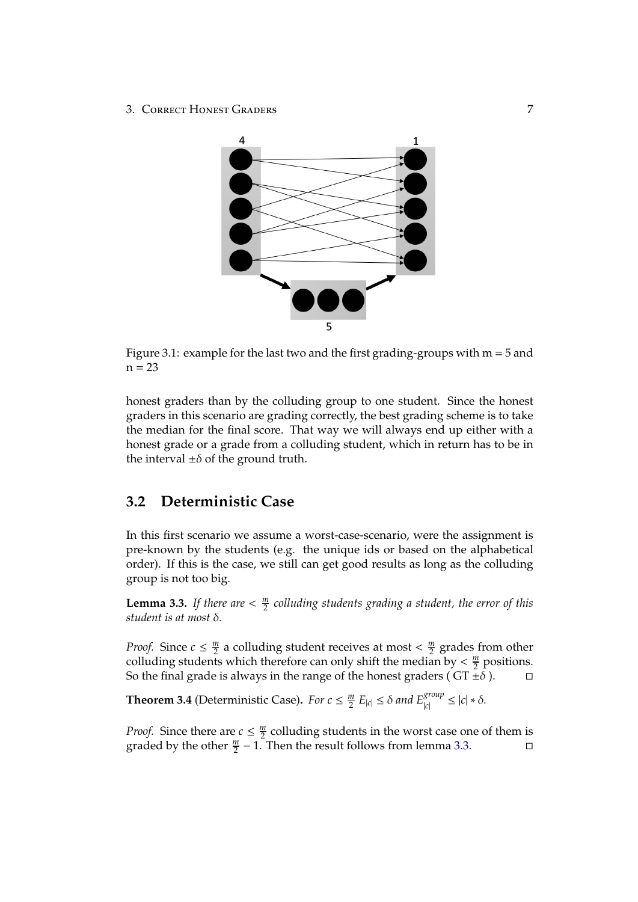<span id="page-10-1"></span>

Figure 3.1: example for the last two and the first grading-groups with  $m = 5$  and  $n = 23$ 

honest graders than by the colluding group to one student. Since the honest graders in this scenario are grading correctly, the best grading scheme is to take the median for the final score. That way we will always end up either with a honest grade or a grade from a colluding student, which in return has to be in the interval  $\pm\delta$  of the ground truth.

## <span id="page-10-0"></span>**3.2 Deterministic Case**

In this first scenario we assume a worst-case-scenario, were the assignment is pre-known by the students (e.g. the unique ids or based on the alphabetical order). If this is the case, we still can get good results as long as the colluding group is not too big.

<span id="page-10-2"></span>**Lemma 3.3.** *If there are*  $\lt \frac{m}{2}$  $\frac{m}{2}$  colluding students grading a student, the error of this *student is at most* δ*.*

*Proof.* Since  $c \leq \frac{m}{2}$  $\frac{m}{2}$  a colluding student receives at most  $\frac{m}{2}$  $\frac{m}{2}$  grades from other colluding students which therefore can only shift the median by  $\lt \frac{m}{2}$  $\frac{m}{2}$  positions. So the final grade is always in the range of the honest graders (  $GT \pm \delta$  ).  $\Box$ 

<span id="page-10-3"></span>**Theorem 3.4** (Deterministic Case). *For*  $c \leq \frac{m}{2}$  $\frac{m}{2}$   $E_{|c|} \leq \delta$  and  $E_{|c|}^{group} \leq |c| * \delta$ .

*Proof.* Since there are  $c \leq \frac{m}{2}$  $\frac{m}{2}$  colluding students in the worst case one of them is graded by the other  $\frac{m}{2}$  – 1. Then the result follows from lemma [3.3.](#page-10-2) □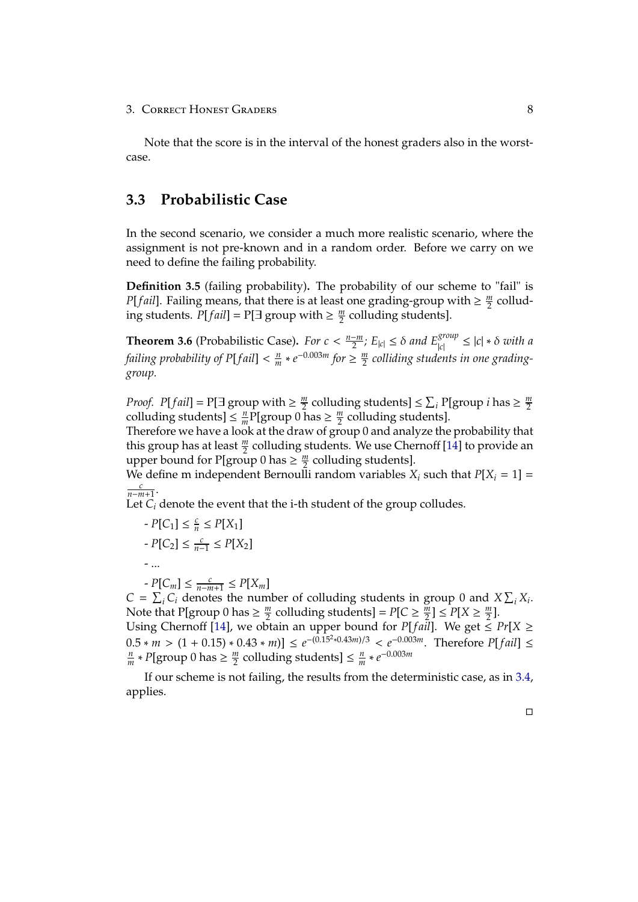Note that the score is in the interval of the honest graders also in the worstcase.

## <span id="page-11-0"></span>**3.3 Probabilistic Case**

In the second scenario, we consider a much more realistic scenario, where the assignment is not pre-known and in a random order. Before we carry on we need to define the failing probability.

**Definition 3.5** (failing probability)**.** The probability of our scheme to "fail" is *P*[*fail*]. Failing means, that there is at least one grading-group with  $\geq \frac{m}{2}$  $\frac{m}{2}$  colluding students.  $P[fail] = P[\exists \text{ group with } \geq \frac{m}{2}]$  $\frac{m}{2}$  colluding students].

**Theorem 3.6** (Probabilistic Case). *For c* <  $\frac{n-m}{2}$  $\frac{2}{2}$ ,  $E_{|c|} \leq \delta$  and  $E_{|c|}^{group} \leq |c| * \delta$  with a *failing probability of P*[*f ail*] < *n*  $\frac{m}{m}$  ∗  $e^{-0.003m}$  *for*  $\geq \frac{m}{2}$ 2 *colliding students in one gradinggroup.*

*Proof.*  $P[fail] = P[ \exists \text{ group with } \geq \frac{m}{2}$  $\frac{m}{2}$  colluding students]  $\leq \sum_i P[\text{group } i \text{ has } \geq \frac{m}{2}]$ 2 colluding students]  $\leq \frac{n}{m}$  $\frac{n}{m}$ P[group 0 has  $\geq \frac{m}{2}$  $\frac{m}{2}$  colluding students].

Therefore we have a look at the draw of group 0 and analyze the probability that this group has at least  $\frac{m}{2}$  colluding students. We use Chernoff [\[14\]](#page-21-1) to provide an upper bound for P[group 0 has  $\geq \frac{m}{2}$  $\frac{m}{2}$  colluding students].

We define m independent Bernoulli random variables  $X_i$  such that  $P[X_i = 1]$  = *c n*−*m*+1 .

Let  $C_i$  denote the event that the i-th student of the group colludes.

$$
-P[C_1] \le \frac{c}{n} \le P[X_1]
$$

$$
\text{-} P[C_2] \leq \tfrac{c}{n-1} \leq P[X_2]
$$

- ...

 $- P[C_m] \leq \frac{c}{n-m+1} \leq P[X_m]$ 

 $C = \sum_i C_i$  denotes the number of colluding students in group 0 and  $X \sum_i X_i$ . Note that P[group 0 has  $\geq \frac{m}{2}$  $\frac{m}{2}$  colluding students] =  $P[C \geq \frac{m}{2}]$  $\frac{m}{2}$ ]  $\leq P[X \geq \frac{m}{2}]$  $\frac{m}{2}$ ]. Using Chernoff [\[14\]](#page-21-1), we obtain an upper bound for *P*[*fail*]. We get  $\leq Pr[X \geq$ 

 $0.5 * m > (1 + 0.15) * 0.43 * m] \le e^{-(0.15^2 * 0.43m)/3} < e^{-0.003m}$ . Therefore *P*[*fail*] ≤ *n*  $\frac{m}{m} * P$ [group 0 has  $\geq \frac{m}{2}$  $\frac{m}{2}$  colluding students]  $\leq \frac{n}{m}$  $\frac{n}{m} * e^{-0.003m}$ 

If our scheme is not failing, the results from the deterministic case, as in [3.4,](#page-10-3) applies.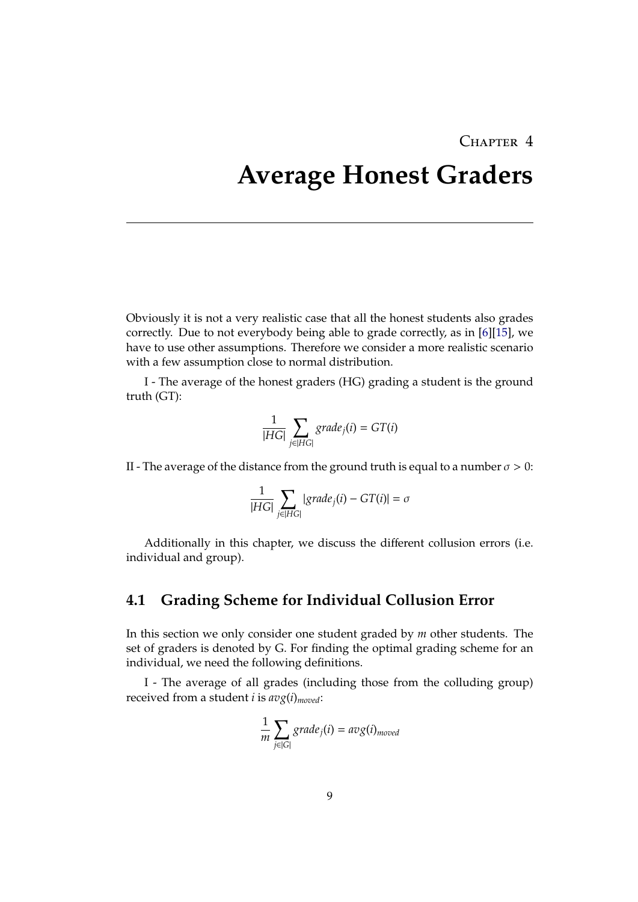## CHAPTER 4

## <span id="page-12-0"></span>**Average Honest Graders**

Obviously it is not a very realistic case that all the honest students also grades correctly. Due to not everybody being able to grade correctly, as in [\[6\]](#page-20-6)[\[15\]](#page-21-2), we have to use other assumptions. Therefore we consider a more realistic scenario with a few assumption close to normal distribution.

I - The average of the honest graders (HG) grading a student is the ground truth (GT):

$$
\frac{1}{|HG|}\sum_{j\in |HG|} grade_j(i) = GT(i)
$$

II - The average of the distance from the ground truth is equal to a number  $\sigma > 0$ :

$$
\frac{1}{|HG|} \sum_{j \in |HG|} |grade_j(i) - GT(i)| = \sigma
$$

Additionally in this chapter, we discuss the different collusion errors (i.e. individual and group).

### <span id="page-12-1"></span>**4.1 Grading Scheme for Individual Collusion Error**

In this section we only consider one student graded by *m* other students. The set of graders is denoted by G. For finding the optimal grading scheme for an individual, we need the following definitions.

I - The average of all grades (including those from the colluding group) received from a student *i* is *avg*(*i*)*moved*:

$$
\frac{1}{m}\sum_{j\in|G|}grade_j(i) = avg(i)_{model}
$$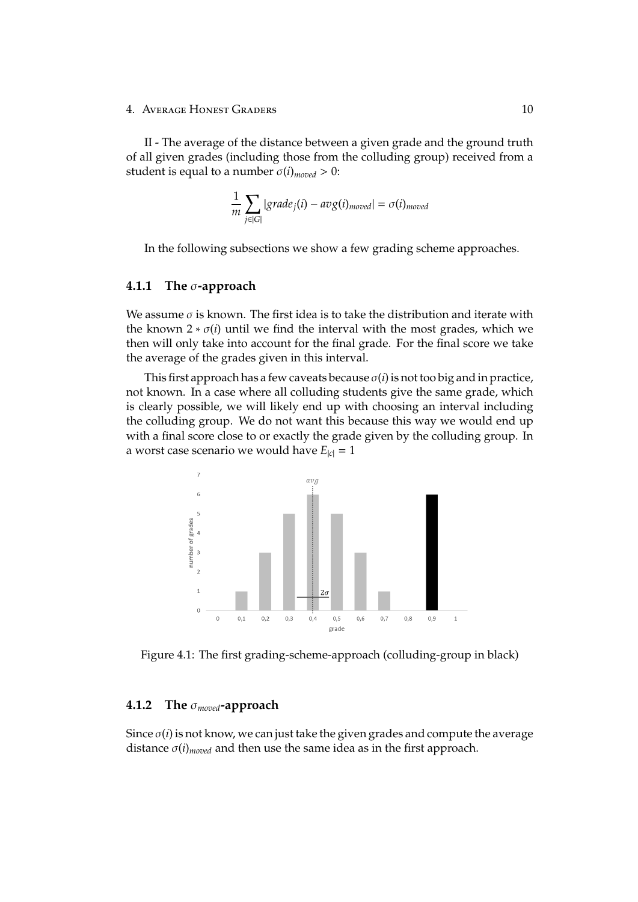II - The average of the distance between a given grade and the ground truth of all given grades (including those from the colluding group) received from a student is equal to a number  $\sigma(i)_{\text{model}} > 0$ :

$$
\frac{1}{m}\sum_{j\in|G|}|grade_j(i) - avg(i)_{model}| = \sigma(i)_{model}
$$

In the following subsections we show a few grading scheme approaches.

### <span id="page-13-0"></span>**4.1.1 The** σ**-approach**

We assume  $\sigma$  is known. The first idea is to take the distribution and iterate with the known  $2 * \sigma(i)$  until we find the interval with the most grades, which we then will only take into account for the final grade. For the final score we take the average of the grades given in this interval.

This first approach has a few caveats because  $\sigma(i)$  is not too big and in practice, not known. In a case where all colluding students give the same grade, which is clearly possible, we will likely end up with choosing an interval including the colluding group. We do not want this because this way we would end up with a final score close to or exactly the grade given by the colluding group. In a worst case scenario we would have  $E_{|c|} = 1$ 



Figure 4.1: The first grading-scheme-approach (colluding-group in black)

#### <span id="page-13-1"></span>**4.1.2 The** σ*moved***-approach**

Since  $\sigma(i)$  is not know, we can just take the given grades and compute the average distance  $\sigma(i)_{model}$  and then use the same idea as in the first approach.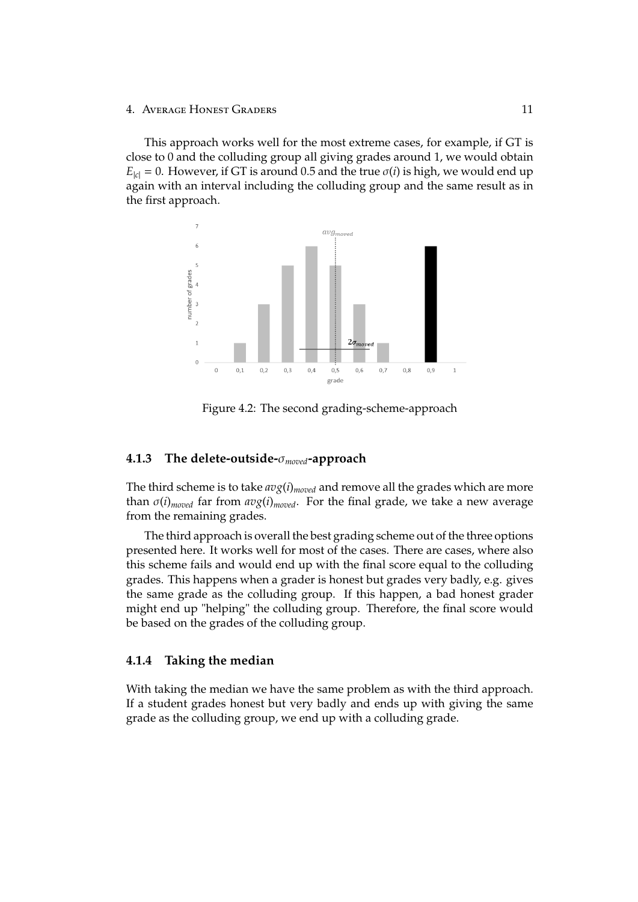This approach works well for the most extreme cases, for example, if GT is close to 0 and the colluding group all giving grades around 1, we would obtain  $E_{|c|} = 0$ . However, if GT is around 0.5 and the true  $\sigma(i)$  is high, we would end up again with an interval including the colluding group and the same result as in the first approach.



Figure 4.2: The second grading-scheme-approach

#### <span id="page-14-0"></span>**4.1.3 The delete-outside-**σ*moved***-approach**

The third scheme is to take *avg*(*i*)*moved* and remove all the grades which are more than σ(*i*)*moved* far from *avg*(*i*)*moved*. For the final grade, we take a new average from the remaining grades.

The third approach is overall the best grading scheme out of the three options presented here. It works well for most of the cases. There are cases, where also this scheme fails and would end up with the final score equal to the colluding grades. This happens when a grader is honest but grades very badly, e.g. gives the same grade as the colluding group. If this happen, a bad honest grader might end up "helping" the colluding group. Therefore, the final score would be based on the grades of the colluding group.

#### <span id="page-14-1"></span>**4.1.4 Taking the median**

With taking the median we have the same problem as with the third approach. If a student grades honest but very badly and ends up with giving the same grade as the colluding group, we end up with a colluding grade.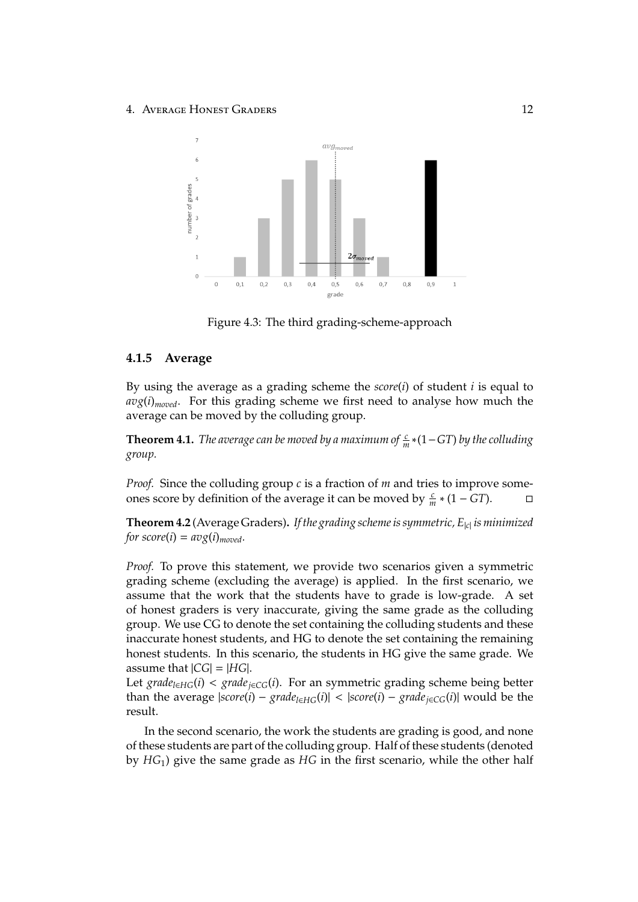



#### <span id="page-15-0"></span>**4.1.5 Average**

By using the average as a grading scheme the *score*(*i*) of student *i* is equal to  $avg(i)_{model}$ . For this grading scheme we first need to analyse how much the average can be moved by the colluding group.

**Theorem 4.1.** *The average can be moved by a maximum of*  $\frac{c}{m}$ \*(1−*GT*) *by the colluding group.*

*Proof.* Since the colluding group *c* is a fraction of *m* and tries to improve someones score by definition of the average it can be moved by  $\frac{c}{m}$  ∗ (1 − *GT*).  $\Box$ 

**Theorem 4.2** (Average Graders)**.** *If the grading scheme is symmetric, E*|*c*<sup>|</sup> *is minimized for score*(*i*) =  $avg(i)_{model}$ .

*Proof.* To prove this statement, we provide two scenarios given a symmetric grading scheme (excluding the average) is applied. In the first scenario, we assume that the work that the students have to grade is low-grade. A set of honest graders is very inaccurate, giving the same grade as the colluding group. We use CG to denote the set containing the colluding students and these inaccurate honest students, and HG to denote the set containing the remaining honest students. In this scenario, the students in HG give the same grade. We assume that  $|CG| = |HG|$ .

Let *grade*<sub>*l*∈*HG*</sub>(*i*) < *grade*<sub>*j*∈*CG*</sub>(*i*). For an symmetric grading scheme being better than the average  $|score(i) - grade_{i \in HG}(i)| < |score(i) - grade_{i \in CG}(i)|$  would be the result.

In the second scenario, the work the students are grading is good, and none of these students are part of the colluding group. Half of these students (denoted by *HG*1) give the same grade as *HG* in the first scenario, while the other half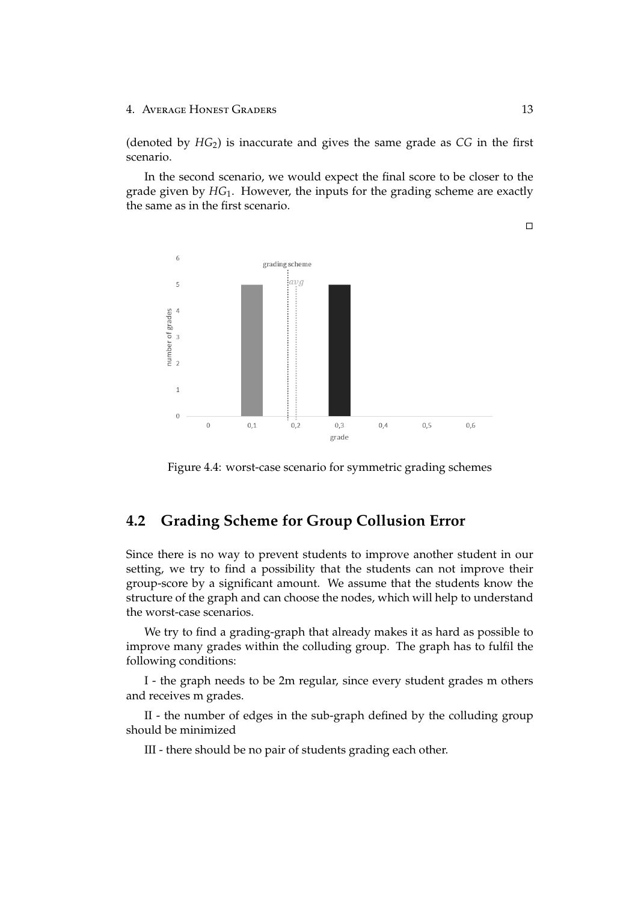(denoted by *HG*2) is inaccurate and gives the same grade as *CG* in the first scenario.

In the second scenario, we would expect the final score to be closer to the grade given by *HG*1. However, the inputs for the grading scheme are exactly the same as in the first scenario.





## <span id="page-16-0"></span>**4.2 Grading Scheme for Group Collusion Error**

Since there is no way to prevent students to improve another student in our setting, we try to find a possibility that the students can not improve their group-score by a significant amount. We assume that the students know the structure of the graph and can choose the nodes, which will help to understand the worst-case scenarios.

We try to find a grading-graph that already makes it as hard as possible to improve many grades within the colluding group. The graph has to fulfil the following conditions:

I - the graph needs to be 2m regular, since every student grades m others and receives m grades.

II - the number of edges in the sub-graph defined by the colluding group should be minimized

III - there should be no pair of students grading each other.

 $\Box$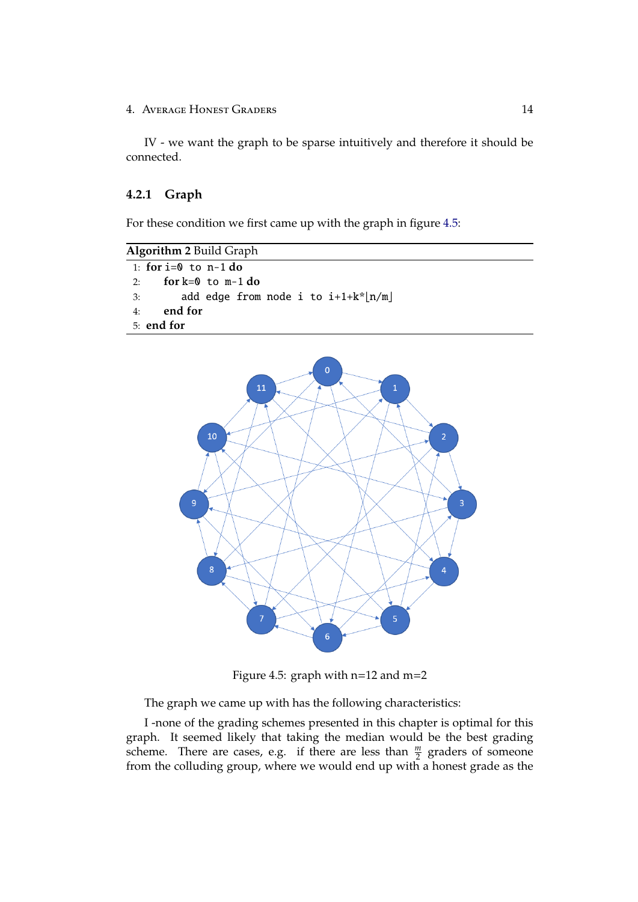IV - we want the graph to be sparse intuitively and therefore it should be connected.

### <span id="page-17-0"></span>**4.2.1 Graph**

For these condition we first came up with the graph in figure [4.5:](#page-17-1)

```
Algorithm 2 Build Graph
1: for i=0 to n-1 do
 2: for k=0 to m-1 do
 3: add edge from node i to i+1+k*[n/m]4: end for
 5: end for
```


<span id="page-17-1"></span>Figure 4.5: graph with n=12 and m=2

The graph we came up with has the following characteristics:

I -none of the grading schemes presented in this chapter is optimal for this graph. It seemed likely that taking the median would be the best grading scheme. There are cases, e.g. if there are less than  $\frac{m}{2}$  graders of someone from the colluding group, where we would end up with a honest grade as the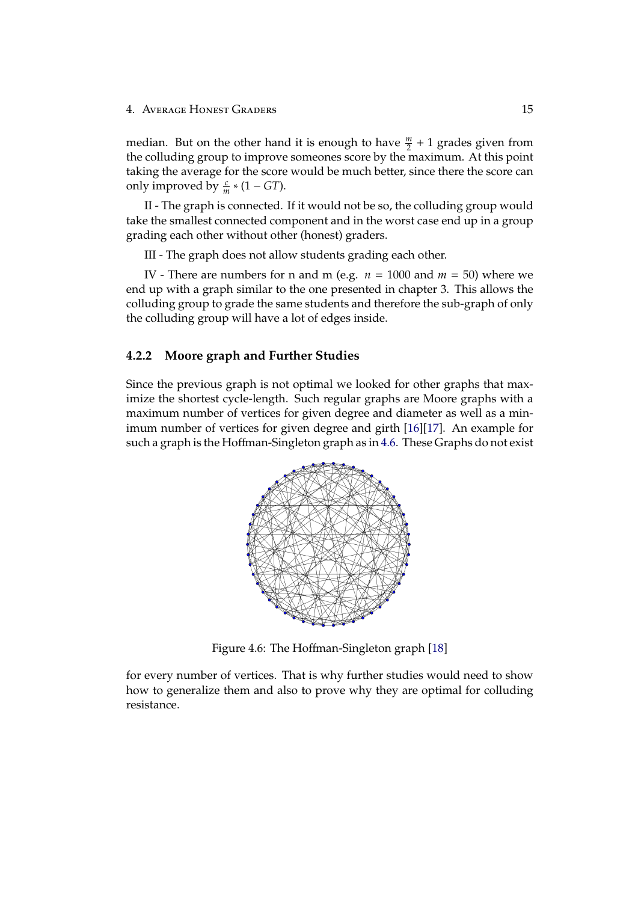median. But on the other hand it is enough to have  $\frac{m}{2} + 1$  grades given from the colluding group to improve someones score by the maximum. At this point taking the average for the score would be much better, since there the score can only improved by  $\frac{c}{m} * (1 - GT)$ .

II - The graph is connected. If it would not be so, the colluding group would take the smallest connected component and in the worst case end up in a group grading each other without other (honest) graders.

III - The graph does not allow students grading each other.

IV - There are numbers for n and m (e.g.  $n = 1000$  and  $m = 50$ ) where we end up with a graph similar to the one presented in chapter 3. This allows the colluding group to grade the same students and therefore the sub-graph of only the colluding group will have a lot of edges inside.

#### <span id="page-18-0"></span>**4.2.2 Moore graph and Further Studies**

Since the previous graph is not optimal we looked for other graphs that maximize the shortest cycle-length. Such regular graphs are Moore graphs with a maximum number of vertices for given degree and diameter as well as a minimum number of vertices for given degree and girth [\[16\]](#page-21-3)[\[17\]](#page-21-4). An example for such a graph is the Hoffman-Singleton graph as in [4.6.](#page-18-1) These Graphs do not exist



<span id="page-18-1"></span>Figure 4.6: The Hoffman-Singleton graph [\[18\]](#page-21-5)

for every number of vertices. That is why further studies would need to show how to generalize them and also to prove why they are optimal for colluding resistance.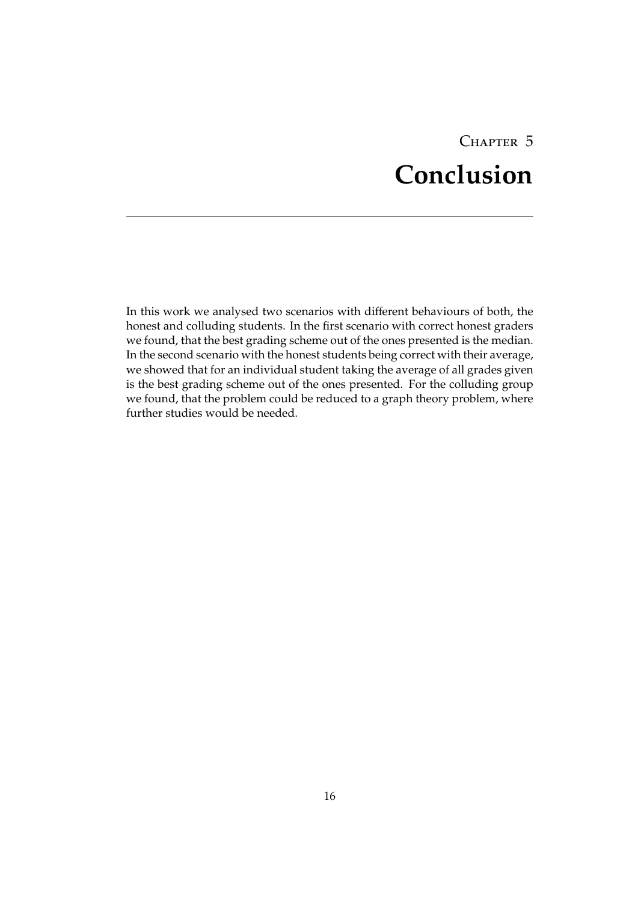# CHAPTER 5 **Conclusion**

<span id="page-19-0"></span>In this work we analysed two scenarios with different behaviours of both, the honest and colluding students. In the first scenario with correct honest graders we found, that the best grading scheme out of the ones presented is the median. In the second scenario with the honest students being correct with their average, we showed that for an individual student taking the average of all grades given is the best grading scheme out of the ones presented. For the colluding group we found, that the problem could be reduced to a graph theory problem, where further studies would be needed.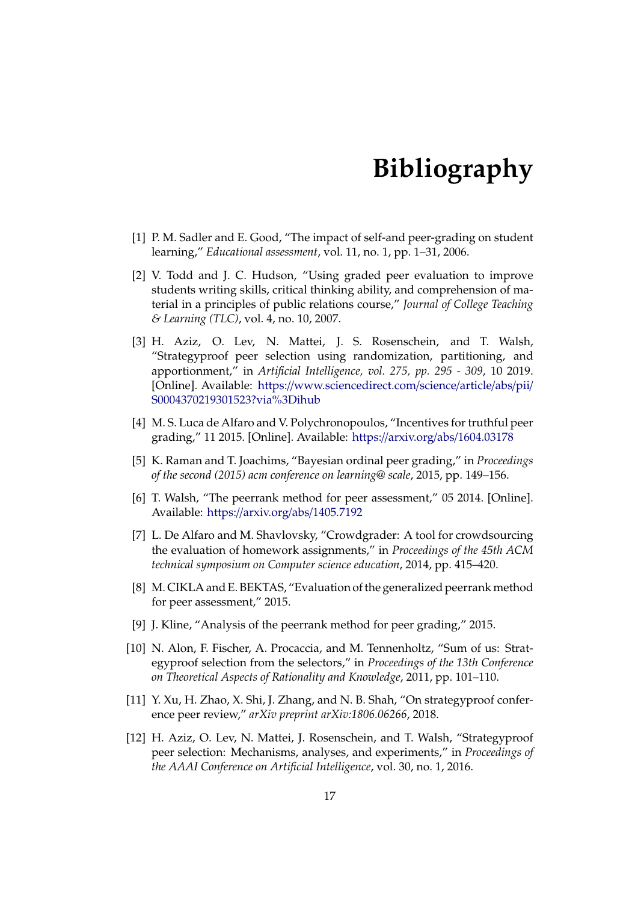# **Bibliography**

- <span id="page-20-1"></span><span id="page-20-0"></span>[1] P. M. Sadler and E. Good, "The impact of self-and peer-grading on student learning," *Educational assessment*, vol. 11, no. 1, pp. 1–31, 2006.
- <span id="page-20-2"></span>[2] V. Todd and J. C. Hudson, "Using graded peer evaluation to improve students writing skills, critical thinking ability, and comprehension of material in a principles of public relations course," *Journal of College Teaching & Learning (TLC)*, vol. 4, no. 10, 2007.
- <span id="page-20-3"></span>[3] H. Aziz, O. Lev, N. Mattei, J. S. Rosenschein, and T. Walsh, "Strategyproof peer selection using randomization, partitioning, and apportionment," in *Artificial Intelligence, vol. 275, pp. 295 - 309*, 10 2019. [Online]. Available: https://[www.sciencedirect.com](https://www.sciencedirect.com/science/article/abs/pii/S0004370219301523?via%3Dihub)/science/article/abs/pii/ [S0004370219301523?via%3Dihub](https://www.sciencedirect.com/science/article/abs/pii/S0004370219301523?via%3Dihub)
- <span id="page-20-4"></span>[4] M. S. Luca de Alfaro and V. Polychronopoulos, "Incentives for truthful peer grading," 11 2015. [Online]. Available: https://arxiv.org/abs/[1604.03178](https://arxiv.org/abs/1604.03178)
- <span id="page-20-5"></span>[5] K. Raman and T. Joachims, "Bayesian ordinal peer grading," in *Proceedings of the second (2015) acm conference on learning@ scale*, 2015, pp. 149–156.
- <span id="page-20-6"></span>[6] T. Walsh, "The peerrank method for peer assessment," 05 2014. [Online]. Available: https://arxiv.org/abs/[1405.7192](https://arxiv.org/abs/1405.7192)
- <span id="page-20-7"></span>[7] L. De Alfaro and M. Shavlovsky, "Crowdgrader: A tool for crowdsourcing the evaluation of homework assignments," in *Proceedings of the 45th ACM technical symposium on Computer science education*, 2014, pp. 415–420.
- <span id="page-20-8"></span>[8] M. CIKLA and E. BEKTAS, "Evaluation of the generalized peerrank method for peer assessment," 2015.
- <span id="page-20-9"></span>[9] J. Kline, "Analysis of the peerrank method for peer grading," 2015.
- <span id="page-20-10"></span>[10] N. Alon, F. Fischer, A. Procaccia, and M. Tennenholtz, "Sum of us: Strategyproof selection from the selectors," in *Proceedings of the 13th Conference on Theoretical Aspects of Rationality and Knowledge*, 2011, pp. 101–110.
- <span id="page-20-11"></span>[11] Y. Xu, H. Zhao, X. Shi, J. Zhang, and N. B. Shah, "On strategyproof conference peer review," *arXiv preprint arXiv:1806.06266*, 2018.
- <span id="page-20-12"></span>[12] H. Aziz, O. Lev, N. Mattei, J. Rosenschein, and T. Walsh, "Strategyproof peer selection: Mechanisms, analyses, and experiments," in *Proceedings of the AAAI Conference on Artificial Intelligence*, vol. 30, no. 1, 2016.